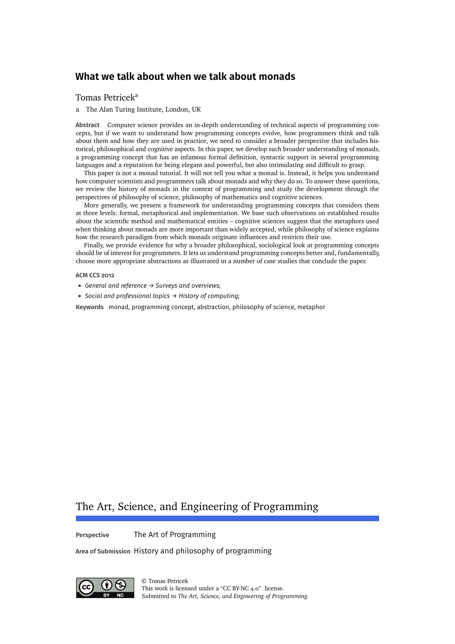# [Tomas Petricek](#page-25-0)<sup>a</sup>

a The Alan Turing Institute, London, UK

**Abstract** Computer science provides an in-depth understanding of technical aspects of programming concepts, but if we want to understand how programming concepts evolve, how programmers think and talk about them and how they are used in practice, we need to consider a broader perspective that includes historical, philosophical and cognitive aspects. In this paper, we develop such broader understanding of monads, a programming concept that has an infamous formal definition, syntactic support in several programming languages and a reputation for being elegant and powerful, but also intimidating and difficult to grasp.

This paper is not a monad tutorial. It will not tell you what a monad is. Instead, it helps you understand how computer scientists and programmers talk about monads and why they do so. To answer these questions, we review the history of monads in the context of programming and study the development through the perspectives of philosophy of science, philosophy of mathematics and cognitive sciences.

More generally, we present a framework for understanding programming concepts that considers them at three levels: formal, metaphorical and implementation. We base such observations on established results about the scientific method and mathematical entities – cognitive sciences suggest that the metaphors used when thinking about monads are more important than widely accepted, while philosophy of science explains how the research paradigm from which monads originate influences and restricts their use.

Finally, we provide evidence for why a broader philosophical, sociological look at programming concepts should be of interest for programmers. It lets us understand programming concepts better and, fundamentally, choose more appropriate abstractions as illustrated in a number of case studies that conclude the paper.

#### **ACM CCS 2012**

- *General and reference → Surveys and overviews;*
- *Social and professional topics → History of computing;*

**Keywords** monad, programming concept, abstraction, philosophy of science, metaphor

# The Art, Science, and Engineering of Programming

**Perspective** The Art of Programming

**Area of Submission** History and philosophy of programming



© [Tomas Petricek](#page-25-0) This work is licensed under a ["CC BY-NC 4.0"](https://creativecommons.org/licenses/by/4.0/deed.en) license. Submitted to *The Art, Science, and Engineering of Programming*.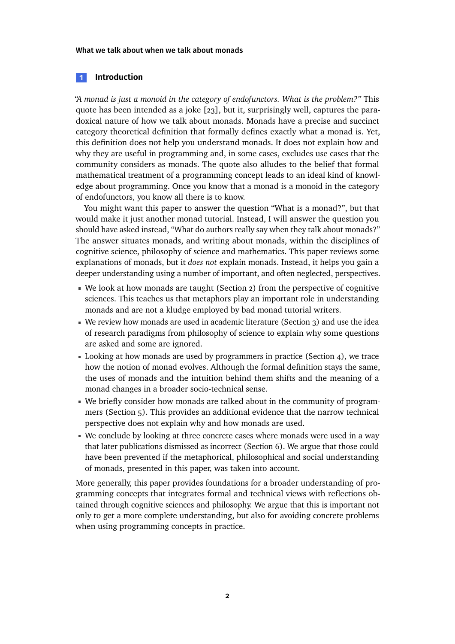# **1 Introduction**

*"A monad is just a monoid in the category of endofunctors. What is the problem?"* This quote has been intended as a joke [\[23\]](#page-22-0), but it, surprisingly well, captures the paradoxical nature of how we talk about monads. Monads have a precise and succinct category theoretical definition that formally defines exactly what a monad is. Yet, this definition does not help you understand monads. It does not explain how and why they are useful in programming and, in some cases, excludes use cases that the community considers as monads. The quote also alludes to the belief that formal mathematical treatment of a programming concept leads to an ideal kind of knowledge about programming. Once you know that a monad is a monoid in the category of endofunctors, you know all there is to know.

You might want this paper to answer the question "What is a monad?", but that would make it just another monad tutorial. Instead, I will answer the question you should have asked instead, "What do authors really say when they talk about monads?" The answer situates monads, and writing about monads, within the disciplines of cognitive science, philosophy of science and mathematics. This paper reviews some explanations of monads, but it *does not* explain monads. Instead, it helps you gain a deeper understanding using a number of important, and often neglected, perspectives.

- We look at how monads are taught (Section [2\)](#page-2-0) from the perspective of cognitive sciences. This teaches us that metaphors play an important role in understanding monads and are not a kludge employed by bad monad tutorial writers.
- We review how monads are used in academic literature (Section [3\)](#page-8-0) and use the idea of research paradigms from philosophy of science to explain why some questions are asked and some are ignored.
- Looking at how monads are used by programmers in practice (Section [4\)](#page-10-0), we trace how the notion of monad evolves. Although the formal definition stays the same, the uses of monads and the intuition behind them shifts and the meaning of a monad changes in a broader socio-technical sense.
- We briefly consider how monads are talked about in the community of programmers (Section [5\)](#page-14-0). This provides an additional evidence that the narrow technical perspective does not explain why and how monads are used.
- We conclude by looking at three concrete cases where monads were used in a way that later publications dismissed as incorrect (Section [6\)](#page-15-0). We argue that those could have been prevented if the metaphorical, philosophical and social understanding of monads, presented in this paper, was taken into account.

More generally, this paper provides foundations for a broader understanding of programming concepts that integrates formal and technical views with reflections obtained through cognitive sciences and philosophy. We argue that this is important not only to get a more complete understanding, but also for avoiding concrete problems when using programming concepts in practice.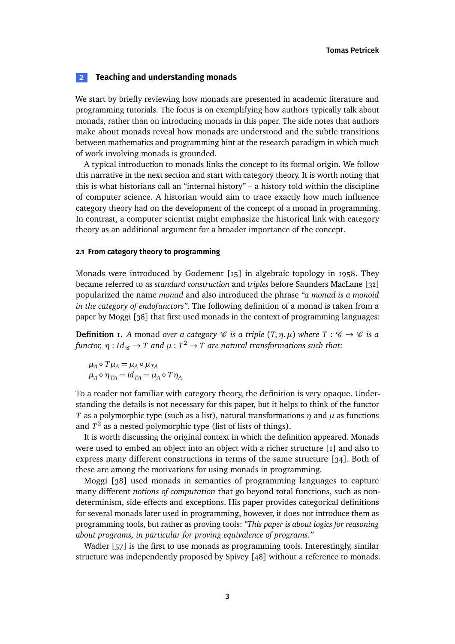# <span id="page-2-0"></span>**2 Teaching and understanding monads**

We start by briefly reviewing how monads are presented in academic literature and programming tutorials. The focus is on exemplifying how authors typically talk about monads, rather than on introducing monads in this paper. The side notes that authors make about monads reveal how monads are understood and the subtle transitions between mathematics and programming hint at the research paradigm in which much of work involving monads is grounded.

A typical introduction to monads links the concept to its formal origin. We follow this narrative in the next section and start with category theory. It is worth noting that this is what historians call an "internal history" – a history told within the discipline of computer science. A historian would aim to trace exactly how much influence category theory had on the development of the concept of a monad in programming. In contrast, a computer scientist might emphasize the historical link with category theory as an additional argument for a broader importance of the concept.

### <span id="page-2-2"></span>**2.1 From category theory to programming**

Monads were introduced by Godement [\[15\]](#page-21-0) in algebraic topology in 1958. They became referred to as *standard construction* and *triples* before Saunders MacLane [\[32\]](#page-22-1) popularized the name *monad* and also introduced the phrase *"a monad is a monoid in the category of endofunctors"*. The following definition of a monad is taken from a paper by Moggi [\[38\]](#page-23-0) that first used monads in the context of programming languages:

<span id="page-2-1"></span>**Definition 1.** A monad over a category  $\mathscr{C}$  *is a triple*  $(T, \eta, \mu)$  where  $T : \mathscr{C} \to \mathscr{C}$  *is a functor,*  $\eta$  *: Id* $_{\mathscr{C}}$  $\to$  *T and*  $\mu$  *:*  $T^2$  $\to$  *T are natural transformations such that:* 

 $\mu_A \circ T\mu_A = \mu_A \circ \mu_{TA}$  $\mu_A \circ \eta_{TA} = id_{TA} = \mu_A \circ T \eta_A$ 

To a reader not familiar with category theory, the definition is very opaque. Understanding the details is not necessary for this paper, but it helps to think of the functor *T* as a polymorphic type (such as a list), natural transformations *η* and *µ* as functions and  $T^2$  as a nested polymorphic type (list of lists of things).

It is worth discussing the original context in which the definition appeared. Monads were used to embed an object into an object with a richer structure [\[1\]](#page-20-0) and also to express many different constructions in terms of the same structure [\[34\]](#page-22-2). Both of these are among the motivations for using monads in programming.

Moggi [\[38\]](#page-23-0) used monads in semantics of programming languages to capture many different *notions of computation* that go beyond total functions, such as nondeterminism, side-effects and exceptions. His paper provides categorical definitions for several monads later used in programming, however, it does not introduce them as programming tools, but rather as proving tools: *"This paper is about logics for reasoning about programs, in particular for proving equivalence of programs."*

Wadler [\[57\]](#page-24-0) is the first to use monads as programming tools. Interestingly, similar structure was independently proposed by Spivey [\[48\]](#page-23-1) without a reference to monads.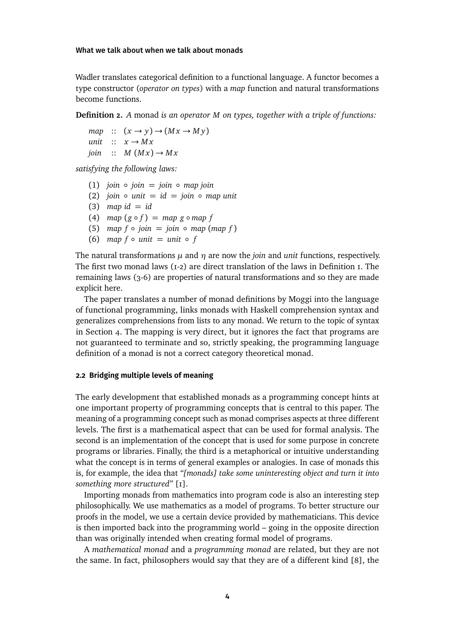Wadler translates categorical definition to a functional language. A functor becomes a type constructor (*operator on types*) with a *map* function and natural transformations become functions.

**Definition 2.** *A* monad *is an operator M on types, together with a triple of functions:*

 $map$  ::  $(x \rightarrow y) \rightarrow (Mx \rightarrow My)$ *unit*  $\therefore$   $x \rightarrow Mx$ *join*  $\therefore$  *M*  $(Mx) \rightarrow Mx$ 

*satisfying the following laws:*

- $(1)$  *join*  $\circ$  *join* = *join*  $\circ$  *map join*
- (2) *join*  $\circ$  *unit* = *id* = *join*  $\circ$  *map unit*
- $(3)$  *map id* = *id*
- (4)  $map(g \circ f) = map(g \circ map f)$
- (5) *map*  $f \circ \text{join} = \text{join} \circ \text{map} (\text{map } f)$
- (6) *map*  $f \circ \text{unit} = \text{unit} \circ f$

The natural transformations  $\mu$  and  $\eta$  are now the *join* and *unit* functions, respectively. The first two monad laws  $(r_2)$  are direct translation of the laws in Definition I. The remaining laws (3-6) are properties of natural transformations and so they are made explicit here.

The paper translates a number of monad definitions by Moggi into the language of functional programming, links monads with Haskell comprehension syntax and generalizes comprehensions from lists to any monad. We return to the topic of syntax in Section [4.](#page-10-0) The mapping is very direct, but it ignores the fact that programs are not guaranteed to terminate and so, strictly speaking, the programming language definition of a monad is not a correct category theoretical monad.

# **2.2 Bridging multiple levels of meaning**

The early development that established monads as a programming concept hints at one important property of programming concepts that is central to this paper. The meaning of a programming concept such as monad comprises aspects at three different levels. The first is a mathematical aspect that can be used for formal analysis. The second is an implementation of the concept that is used for some purpose in concrete programs or libraries. Finally, the third is a metaphorical or intuitive understanding what the concept is in terms of general examples or analogies. In case of monads this is, for example, the idea that *"[monads] take some uninteresting object and turn it into something more structured"* [\[1\]](#page-20-0).

Importing monads from mathematics into program code is also an interesting step philosophically. We use mathematics as a model of programs. To better structure our proofs in the model, we use a certain device provided by mathematicians. This device is then imported back into the programming world – going in the opposite direction than was originally intended when creating formal model of programs.

A *mathematical monad* and a *programming monad* are related, but they are not the same. In fact, philosophers would say that they are of a different kind [\[8\]](#page-21-1), the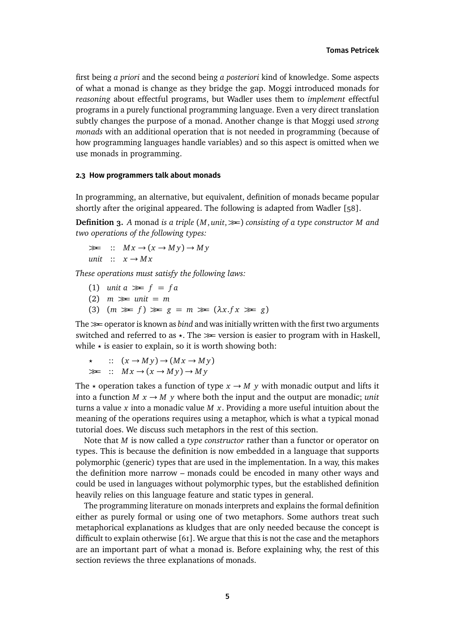first being *a priori* and the second being *a posteriori* kind of knowledge. Some aspects of what a monad is change as they bridge the gap. Moggi introduced monads for *reasoning* about effectful programs, but Wadler uses them to *implement* effectful programs in a purely functional programming language. Even a very direct translation subtly changes the purpose of a monad. Another change is that Moggi used *strong monads* with an additional operation that is not needed in programming (because of how programming languages handle variables) and so this aspect is omitted when we use monads in programming.

#### <span id="page-4-0"></span>**2.3 How programmers talk about monads**

In programming, an alternative, but equivalent, definition of monads became popular shortly after the original appeared. The following is adapted from Wadler [\[58\]](#page-24-1).

**Definition 3.** *A* monad *is a triple* (*M*, *unit*,*>>*=) *consisting of a type constructor M and two operations of the following types:*

 $\gg$  ::  $Mx \rightarrow (x \rightarrow My) \rightarrow My$ *unit*  $\therefore$   $x \rightarrow Mx$ 

*These operations must satisfy the following laws:*

- (1) *unit a*  $\gg$   $f = fa$
- (2) *m >>*= *unit* = *m*
- (3)  $(m \gg f) \gg g = m \gg g(\lambda x.fx \gg g)$

The *>>*<sup>=</sup> operator is known as *bind* and was initially written with the first two arguments switched and referred to as  $\star$ . The  $\gg$  version is easier to program with in Haskell, while  $\star$  is easier to explain, so it is worth showing both:

 $\therefore$   $(x \rightarrow My) \rightarrow (Mx \rightarrow My)$  $\gg$  ::  $Mx \rightarrow (x \rightarrow My) \rightarrow My$ 

The  $\star$  operation takes a function of type  $x \to M$  y with monadic output and lifts it into a function  $M x \rightarrow M y$  where both the input and the output are monadic; *unit* turns a value *x* into a monadic value *M x*. Providing a more useful intuition about the meaning of the operations requires using a metaphor, which is what a typical monad tutorial does. We discuss such metaphors in the rest of this section.

Note that *M* is now called a *type constructor* rather than a functor or operator on types. This is because the definition is now embedded in a language that supports polymorphic (generic) types that are used in the implementation. In a way, this makes the definition more narrow – monads could be encoded in many other ways and could be used in languages without polymorphic types, but the established definition heavily relies on this language feature and static types in general.

The programming literature on monads interprets and explains the formal definition either as purely formal or using one of two metaphors. Some authors treat such metaphorical explanations as kludges that are only needed because the concept is difficult to explain otherwise [\[61\]](#page-24-2). We argue that this is not the case and the metaphors are an important part of what a monad is. Before explaining why, the rest of this section reviews the three explanations of monads.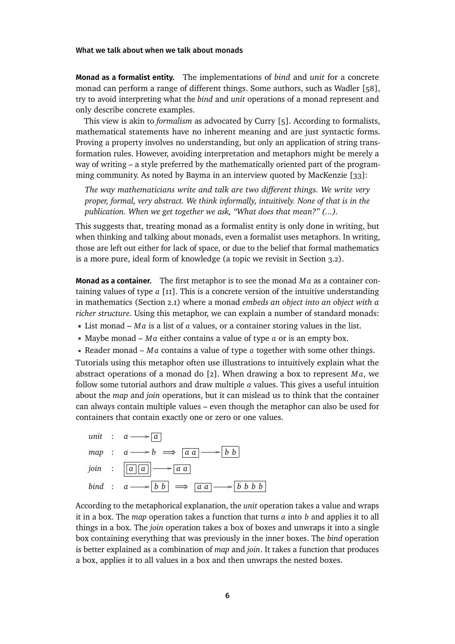**Monad as a formalist entity.** The implementations of *bind* and *unit* for a concrete monad can perform a range of different things. Some authors, such as Wadler [\[58\]](#page-24-1), try to avoid interpreting what the *bind* and *unit* operations of a monad represent and only describe concrete examples.

This view is akin to *formalism* as advocated by Curry [\[5\]](#page-20-1). According to formalists, mathematical statements have no inherent meaning and are just syntactic forms. Proving a property involves no understanding, but only an application of string transformation rules. However, avoiding interpretation and metaphors might be merely a way of writing – a style preferred by the mathematically oriented part of the programming community. As noted by Bayma in an interview quoted by MacKenzie [\[33\]](#page-22-3):

*The way mathematicians write and talk are two different things. We write very proper, formal, very abstract. We think informally, intuitively. None of that is in the publication. When we get together we ask, "What does that mean?" (...).*

This suggests that, treating monad as a formalist entity is only done in writing, but when thinking and talking about monads, even a formalist uses metaphors. In writing, those are left out either for lack of space, or due to the belief that formal mathematics is a more pure, ideal form of knowledge (a topic we revisit in Section [3.2\)](#page-9-0).

**Monad as a container.** The first metaphor is to see the monad *M a* as a container containing values of type *a* [\[11\]](#page-21-2). This is a concrete version of the intuitive understanding in mathematics (Section [2.1\)](#page-2-2) where a monad *embeds an object into an object with a richer structure*. Using this metaphor, we can explain a number of standard monads:

- **List monad**  $Ma$  is a list of  $a$  values, or a container storing values in the list.
- Maybe monad *M a* either contains a value of type *a* or is an empty box.
- Reader monad *M a* contains a value of type *a* together with some other things.

Tutorials using this metaphor often use illustrations to intuitively explain what the abstract operations of a monad do [\[2\]](#page-20-2). When drawing a box to represent  $Ma$ , we follow some tutorial authors and draw multiple *a* values. This gives a useful intuition about the *map* and *join* operations, but it can mislead us to think that the container can always contain multiple values – even though the metaphor can also be used for containers that contain exactly one or zero or one values.



According to the metaphorical explanation, the *unit* operation takes a value and wraps it in a box. The *map* operation takes a function that turns *a* into *b* and applies it to all things in a box. The *join* operation takes a box of boxes and unwraps it into a single box containing everything that was previously in the inner boxes. The *bind* operation is better explained as a combination of *map* and *join*. It takes a function that produces a box, applies it to all values in a box and then unwraps the nested boxes.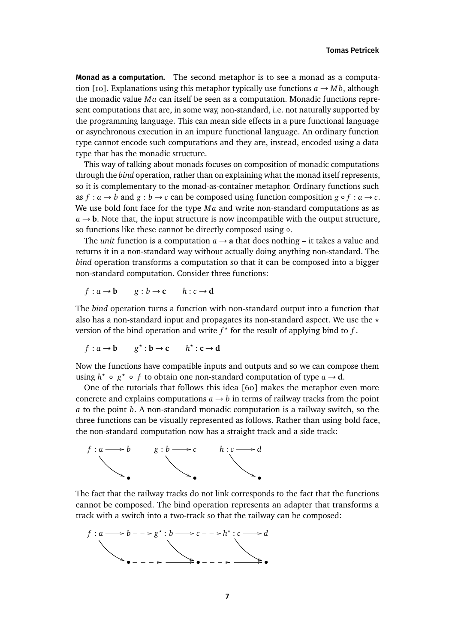**Monad as a computation.** The second metaphor is to see a monad as a computa-tion [\[10\]](#page-21-3). Explanations using this metaphor typically use functions  $a \rightarrow M b$ , although the monadic value *M a* can itself be seen as a computation. Monadic functions represent computations that are, in some way, non-standard, i.e. not naturally supported by the programming language. This can mean side effects in a pure functional language or asynchronous execution in an impure functional language. An ordinary function type cannot encode such computations and they are, instead, encoded using a data type that has the monadic structure.

This way of talking about monads focuses on composition of monadic computations through the *bind* operation, rather than on explaining what the monad itself represents, so it is complementary to the monad-as-container metaphor. Ordinary functions such as  $f: a \to b$  and  $g: b \to c$  can be composed using function composition  $g \circ f: a \to c$ . We use bold font face for the type *Ma* and write non-standard computations as as  $a \rightarrow b$ . Note that, the input structure is now incompatible with the output structure, so functions like these cannot be directly composed using ◦.

The *unit* function is a computation  $a \rightarrow a$  that does nothing – it takes a value and returns it in a non-standard way without actually doing anything non-standard. The *bind* operation transforms a computation so that it can be composed into a bigger non-standard computation. Consider three functions:

$$
f: a \rightarrow b
$$
  $g: b \rightarrow c$   $h: c \rightarrow d$ 

The *bind* operation turns a function with non-standard output into a function that also has a non-standard input and propagates its non-standard aspect. We use the *?* version of the bind operation and write  $f^*$  for the result of applying bind to  $f$ .

$$
f: a \to b \qquad g^* : b \to c \qquad h^* : c \to d
$$

Now the functions have compatible inputs and outputs and so we can compose them using  $h^* \circ g^* \circ f$  to obtain one non-standard computation of type  $a \to d$ .

One of the tutorials that follows this idea [\[60\]](#page-24-3) makes the metaphor even more concrete and explains computations  $a \rightarrow b$  in terms of railway tracks from the point *a* to the point *b*. A non-standard monadic computation is a railway switch, so the three functions can be visually represented as follows. Rather than using bold face, the non-standard computation now has a straight track and a side track:



The fact that the railway tracks do not link corresponds to the fact that the functions cannot be composed. The bind operation represents an adapter that transforms a track with a switch into a two-track so that the railway can be composed:

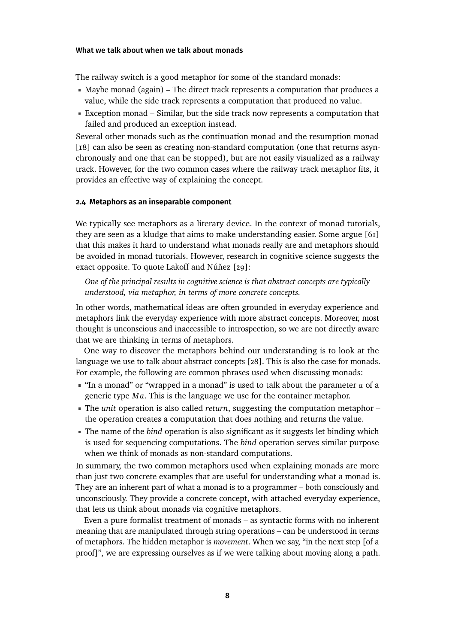The railway switch is a good metaphor for some of the standard monads:

- Maybe monad (again) The direct track represents a computation that produces a value, while the side track represents a computation that produced no value.
- Exception monad Similar, but the side track now represents a computation that failed and produced an exception instead.

Several other monads such as the continuation monad and the resumption monad [\[18\]](#page-21-4) can also be seen as creating non-standard computation (one that returns asynchronously and one that can be stopped), but are not easily visualized as a railway track. However, for the two common cases where the railway track metaphor fits, it provides an effective way of explaining the concept.

### <span id="page-7-0"></span>**2.4 Metaphors as an inseparable component**

We typically see metaphors as a literary device. In the context of monad tutorials, they are seen as a kludge that aims to make understanding easier. Some argue [\[61\]](#page-24-2) that this makes it hard to understand what monads really are and metaphors should be avoided in monad tutorials. However, research in cognitive science suggests the exact opposite. To quote Lakoff and Núñez [\[29\]](#page-22-4):

*One of the principal results in cognitive science is that abstract concepts are typically understood, via metaphor, in terms of more concrete concepts.*

In other words, mathematical ideas are often grounded in everyday experience and metaphors link the everyday experience with more abstract concepts. Moreover, most thought is unconscious and inaccessible to introspection, so we are not directly aware that we are thinking in terms of metaphors.

One way to discover the metaphors behind our understanding is to look at the language we use to talk about abstract concepts [\[28\]](#page-22-5). This is also the case for monads. For example, the following are common phrases used when discussing monads:

- "In a monad" or "wrapped in a monad" is used to talk about the parameter *a* of a generic type *M a*. This is the language we use for the container metaphor.
- The *unit* operation is also called *return*, suggesting the computation metaphor the operation creates a computation that does nothing and returns the value.
- The name of the *bind* operation is also significant as it suggests let binding which is used for sequencing computations. The *bind* operation serves similar purpose when we think of monads as non-standard computations.

In summary, the two common metaphors used when explaining monads are more than just two concrete examples that are useful for understanding what a monad is. They are an inherent part of what a monad is to a programmer – both consciously and unconsciously. They provide a concrete concept, with attached everyday experience, that lets us think about monads via cognitive metaphors.

Even a pure formalist treatment of monads – as syntactic forms with no inherent meaning that are manipulated through string operations – can be understood in terms of metaphors. The hidden metaphor is *movement*. When we say, "in the next step [of a proof]", we are expressing ourselves as if we were talking about moving along a path.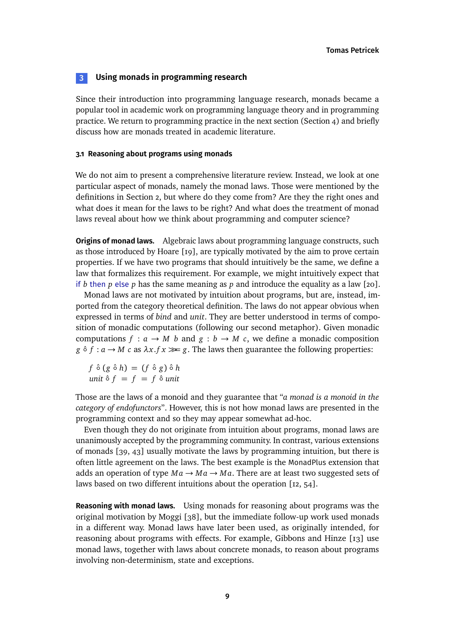# <span id="page-8-0"></span>**3 Using monads in programming research**

Since their introduction into programming language research, monads became a popular tool in academic work on programming language theory and in programming practice. We return to programming practice in the next section (Section [4\)](#page-10-0) and briefly discuss how are monads treated in academic literature.

# **3.1 Reasoning about programs using monads**

We do not aim to present a comprehensive literature review. Instead, we look at one particular aspect of monads, namely the monad laws. Those were mentioned by the definitions in Section [2,](#page-2-0) but where do they come from? Are they the right ones and what does it mean for the laws to be right? And what does the treatment of monad laws reveal about how we think about programming and computer science?

**Origins of monad laws.** Algebraic laws about programming language constructs, such as those introduced by Hoare [\[19\]](#page-21-5), are typically motivated by the aim to prove certain properties. If we have two programs that should intuitively be the same, we define a law that formalizes this requirement. For example, we might intuitively expect that if *b* then *p* else *p* has the same meaning as *p* and introduce the equality as a law [\[20\]](#page-21-6).

Monad laws are not motivated by intuition about programs, but are, instead, imported from the category theoretical definition. The laws do not appear obvious when expressed in terms of *bind* and *unit*. They are better understood in terms of composition of monadic computations (following our second metaphor). Given monadic computations  $f : a \rightarrow M$  *b* and  $g : b \rightarrow M$  *c*, we define a monadic composition  $g \circ f : a \to M$  *c* as  $\lambda x.fx \gg g$ . The laws then guarantee the following properties:

 $f \circ (g \circ h) = (f \circ g) \circ h$ *unit*  $\delta f = f = f \delta$  *unit* 

Those are the laws of a monoid and they guarantee that "*a monad is a monoid in the category of endofunctors*". However, this is not how monad laws are presented in the programming context and so they may appear somewhat ad-hoc.

Even though they do not originate from intuition about programs, monad laws are unanimously accepted by the programming community. In contrast, various extensions of monads [\[39,](#page-23-2) [43\]](#page-23-3) usually motivate the laws by programming intuition, but there is often little agreement on the laws. The best example is the MonadPlus extension that adds an operation of type  $Ma \rightarrow Ma \rightarrow Ma$ . There are at least two suggested sets of laws based on two different intuitions about the operation [\[12,](#page-21-7) [54\]](#page-24-4).

**Reasoning with monad laws.** Using monads for reasoning about programs was the original motivation by Moggi [\[38\]](#page-23-0), but the immediate follow-up work used monads in a different way. Monad laws have later been used, as originally intended, for reasoning about programs with effects. For example, Gibbons and Hinze [\[13\]](#page-21-8) use monad laws, together with laws about concrete monads, to reason about programs involving non-determinism, state and exceptions.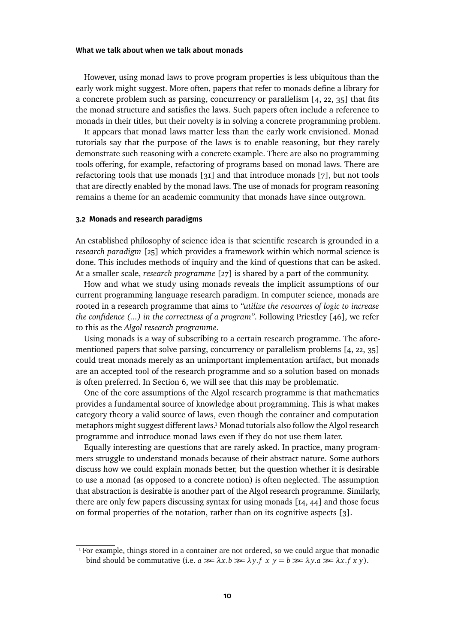However, using monad laws to prove program properties is less ubiquitous than the early work might suggest. More often, papers that refer to monads define a library for a concrete problem such as parsing, concurrency or parallelism [\[4,](#page-20-3) [22,](#page-22-6) [35\]](#page-22-7) that fits the monad structure and satisfies the laws. Such papers often include a reference to monads in their titles, but their novelty is in solving a concrete programming problem.

It appears that monad laws matter less than the early work envisioned. Monad tutorials say that the purpose of the laws is to enable reasoning, but they rarely demonstrate such reasoning with a concrete example. There are also no programming tools offering, for example, refactoring of programs based on monad laws. There are refactoring tools that use monads [\[31\]](#page-22-8) and that introduce monads [\[7\]](#page-21-9), but not tools that are directly enabled by the monad laws. The use of monads for program reasoning remains a theme for an academic community that monads have since outgrown.

# <span id="page-9-0"></span>**3.2 Monads and research paradigms**

An established philosophy of science idea is that scientific research is grounded in a *research paradigm* [\[25\]](#page-22-9) which provides a framework within which normal science is done. This includes methods of inquiry and the kind of questions that can be asked. At a smaller scale, *research programme* [\[27\]](#page-22-10) is shared by a part of the community.

How and what we study using monads reveals the implicit assumptions of our current programming language research paradigm. In computer science, monads are rooted in a research programme that aims to *"utilize the resources of logic to increase the confidence (...) in the correctness of a program"*. Following Priestley [\[46\]](#page-23-4), we refer to this as the *Algol research programme*.

Using monads is a way of subscribing to a certain research programme. The aforementioned papers that solve parsing, concurrency or parallelism problems [\[4,](#page-20-3) [22,](#page-22-6) [35\]](#page-22-7) could treat monads merely as an unimportant implementation artifact, but monads are an accepted tool of the research programme and so a solution based on monads is often preferred. In Section [6,](#page-15-0) we will see that this may be problematic.

One of the core assumptions of the Algol research programme is that mathematics provides a fundamental source of knowledge about programming. This is what makes category theory a valid source of laws, even though the container and computation metaphors might suggest different law[s.1](#page-9-1) Monad tutorials also follow the Algol research programme and introduce monad laws even if they do not use them later.

Equally interesting are questions that are rarely asked. In practice, many programmers struggle to understand monads because of their abstract nature. Some authors discuss how we could explain monads better, but the question whether it is desirable to use a monad (as opposed to a concrete notion) is often neglected. The assumption that abstraction is desirable is another part of the Algol research programme. Similarly, there are only few papers discussing syntax for using monads [\[14,](#page-21-10) [44\]](#page-23-5) and those focus on formal properties of the notation, rather than on its cognitive aspects [\[3\]](#page-20-4).

<span id="page-9-1"></span><sup>&</sup>lt;sup>1</sup> For example, things stored in a container are not ordered, so we could argue that monadic bind should be commutative (i.e.  $a \gg \lambda x.b \gg \lambda y.f \times y = b \gg \lambda y.a \gg \lambda x.f \times y$ ).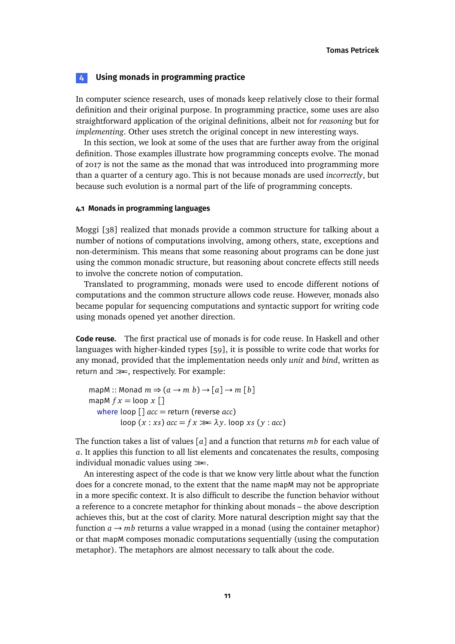# <span id="page-10-0"></span>**4 Using monads in programming practice**

In computer science research, uses of monads keep relatively close to their formal definition and their original purpose. In programming practice, some uses are also straightforward application of the original definitions, albeit not for *reasoning* but for *implementing*. Other uses stretch the original concept in new interesting ways.

In this section, we look at some of the uses that are further away from the original definition. Those examples illustrate how programming concepts evolve. The monad of 2017 is not the same as the monad that was introduced into programming more than a quarter of a century ago. This is not because monads are used *incorrectly*, but because such evolution is a normal part of the life of programming concepts.

# <span id="page-10-1"></span>**4.1 Monads in programming languages**

Moggi [\[38\]](#page-23-0) realized that monads provide a common structure for talking about a number of notions of computations involving, among others, state, exceptions and non-determinism. This means that some reasoning about programs can be done just using the common monadic structure, but reasoning about concrete effects still needs to involve the concrete notion of computation.

Translated to programming, monads were used to encode different notions of computations and the common structure allows code reuse. However, monads also became popular for sequencing computations and syntactic support for writing code using monads opened yet another direction.

**Code reuse.** The first practical use of monads is for code reuse. In Haskell and other languages with higher-kinded types [\[59\]](#page-24-5), it is possible to write code that works for any monad, provided that the implementation needs only *unit* and *bind*, written as return and *>>*=, respectively. For example:

```
mapM :: Monad m \Rightarrow (a \rightarrow m b) \rightarrow [a] \rightarrow m [b]mapM fx = loop x []
   where loop [] acc = return (reverse acc)
           loop (x : xs) acc = fx \gg \lambda y. loop xs(y : acc)
```
The function takes a list of values [*a*] and a function that returns *mb* for each value of *a*. It applies this function to all list elements and concatenates the results, composing individual monadic values using *>>*=.

An interesting aspect of the code is that we know very little about what the function does for a concrete monad, to the extent that the name mapM may not be appropriate in a more specific context. It is also difficult to describe the function behavior without a reference to a concrete metaphor for thinking about monads – the above description achieves this, but at the cost of clarity. More natural description might say that the function  $a \rightarrow mb$  returns a value wrapped in a monad (using the container metaphor) or that mapM composes monadic computations sequentially (using the computation metaphor). The metaphors are almost necessary to talk about the code.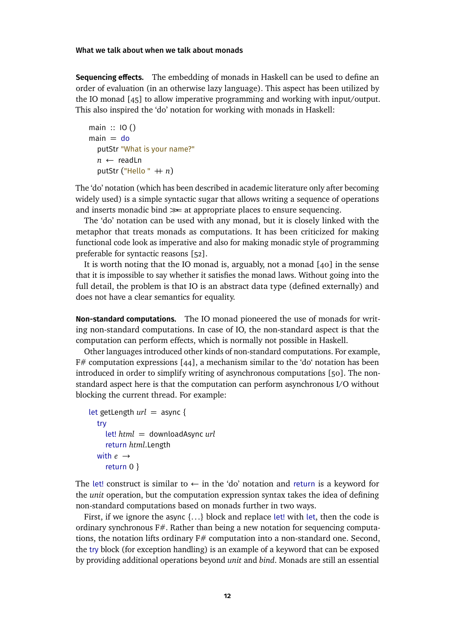**Sequencing effects.** The embedding of monads in Haskell can be used to define an order of evaluation (in an otherwise lazy language). This aspect has been utilized by the IO monad [\[45\]](#page-23-6) to allow imperative programming and working with input/output. This also inspired the 'do' notation for working with monads in Haskell:

```
main :: IO ()
main = doputStr "What is your name?"
  n ← readLn
  putStr ("Hello " ++ n)
```
The 'do' notation (which has been described in academic literature only after becoming widely used) is a simple syntactic sugar that allows writing a sequence of operations and inserts monadic bind *>>*<sup>=</sup> at appropriate places to ensure sequencing.

The 'do' notation can be used with any monad, but it is closely linked with the metaphor that treats monads as computations. It has been criticized for making functional code look as imperative and also for making monadic style of programming preferable for syntactic reasons [\[52\]](#page-23-7).

It is worth noting that the IO monad is, arguably, not a monad [\[40\]](#page-23-8) in the sense that it is impossible to say whether it satisfies the monad laws. Without going into the full detail, the problem is that IO is an abstract data type (defined externally) and does not have a clear semantics for equality.

**Non-standard computations.** The IO monad pioneered the use of monads for writing non-standard computations. In case of IO, the non-standard aspect is that the computation can perform effects, which is normally not possible in Haskell.

Other languages introduced other kinds of non-standard computations. For example,  $F#$  computation expressions [\[44\]](#page-23-5), a mechanism similar to the 'do' notation has been introduced in order to simplify writing of asynchronous computations [\[50\]](#page-23-9). The nonstandard aspect here is that the computation can perform asynchronous I/O without blocking the current thread. For example:

```
let getLength url = async {
  try
     let! html = downloadAsync url
     return html.Length
  with e \rightarrowreturn 0 }
```
The let! construct is similar to  $\leftarrow$  in the 'do' notation and return is a keyword for the *unit* operation, but the computation expression syntax takes the idea of defining non-standard computations based on monads further in two ways.

First, if we ignore the async  $\{ \ldots \}$  block and replace let! with let, then the code is ordinary synchronous  $F\#$ . Rather than being a new notation for sequencing computations, the notation lifts ordinary F# computation into a non-standard one. Second, the try block (for exception handling) is an example of a keyword that can be exposed by providing additional operations beyond *unit* and *bind*. Monads are still an essential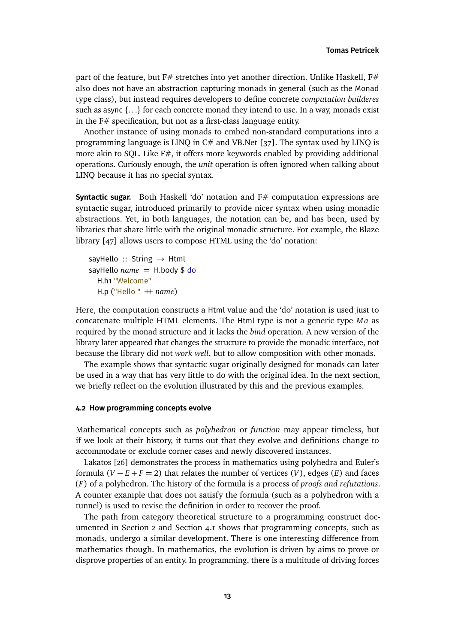part of the feature, but F# stretches into yet another direction. Unlike Haskell, F# also does not have an abstraction capturing monads in general (such as the Monad type class), but instead requires developers to define concrete *computation builderes* such as async  $\{ \ldots \}$  for each concrete monad they intend to use. In a way, monads exist in the F# specification, but not as a first-class language entity.

Another instance of using monads to embed non-standard computations into a programming language is LINQ in C# and VB.Net [\[37\]](#page-22-11). The syntax used by LINQ is more akin to SQL. Like  $F\#$ , it offers more keywords enabled by providing additional operations. Curiously enough, the *unit* operation is often ignored when talking about LINQ because it has no special syntax.

**Syntactic sugar.** Both Haskell 'do' notation and F# computation expressions are syntactic sugar, introduced primarily to provide nicer syntax when using monadic abstractions. Yet, in both languages, the notation can be, and has been, used by libraries that share little with the original monadic structure. For example, the Blaze library [\[47\]](#page-23-10) allows users to compose HTML using the 'do' notation:

sayHello :: String  $\rightarrow$  Html sayHello  $name = H.body$  \$ do H.h1 "Welcome" H.p ("Hello " + name)

Here, the computation constructs a Html value and the 'do' notation is used just to concatenate multiple HTML elements. The Html type is not a generic type *Ma* as required by the monad structure and it lacks the *bind* operation. A new version of the library later appeared that changes the structure to provide the monadic interface, not because the library did not *work well*, but to allow composition with other monads.

The example shows that syntactic sugar originally designed for monads can later be used in a way that has very little to do with the original idea. In the next section, we briefly reflect on the evolution illustrated by this and the previous examples.

# <span id="page-12-0"></span>**4.2 How programming concepts evolve**

Mathematical concepts such as *polyhedron* or *function* may appear timeless, but if we look at their history, it turns out that they evolve and definitions change to accommodate or exclude corner cases and newly discovered instances.

Lakatos [\[26\]](#page-22-12) demonstrates the process in mathematics using polyhedra and Euler's formula  $(V - E + F = 2)$  that relates the number of vertices  $(V)$ , edges  $(E)$  and faces (*F*) of a polyhedron. The history of the formula is a process of *proofs and refutations*. A counter example that does not satisfy the formula (such as a polyhedron with a tunnel) is used to revise the definition in order to recover the proof.

The path from category theoretical structure to a programming construct documented in Section [2](#page-2-0) and Section [4.1](#page-10-1) shows that programming concepts, such as monads, undergo a similar development. There is one interesting difference from mathematics though. In mathematics, the evolution is driven by aims to prove or disprove properties of an entity. In programming, there is a multitude of driving forces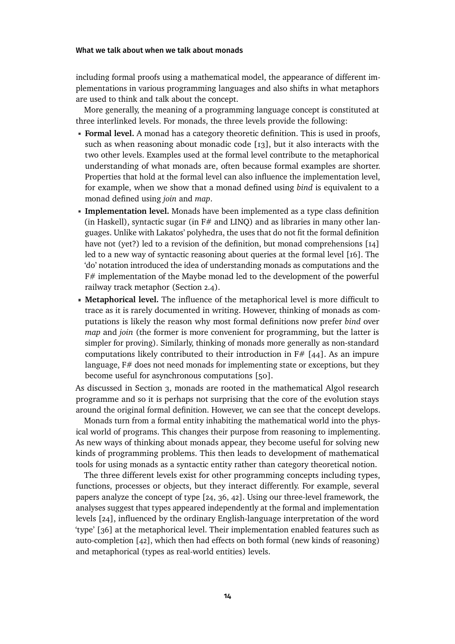including formal proofs using a mathematical model, the appearance of different implementations in various programming languages and also shifts in what metaphors are used to think and talk about the concept.

More generally, the meaning of a programming language concept is constituted at three interlinked levels. For monads, the three levels provide the following:

- **Formal level.** A monad has a category theoretic definition. This is used in proofs, such as when reasoning about monadic code [\[13\]](#page-21-8), but it also interacts with the two other levels. Examples used at the formal level contribute to the metaphorical understanding of what monads are, often because formal examples are shorter. Properties that hold at the formal level can also influence the implementation level, for example, when we show that a monad defined using *bind* is equivalent to a monad defined using *join* and *map*.
- **Implementation level.** Monads have been implemented as a type class definition (in Haskell), syntactic sugar (in  $F#$  and LINO) and as libraries in many other languages. Unlike with Lakatos' polyhedra, the uses that do not fit the formal definition have not (yet?) led to a revision of the definition, but monad comprehensions [\[14\]](#page-21-10) led to a new way of syntactic reasoning about queries at the formal level [\[16\]](#page-21-11). The 'do' notation introduced the idea of understanding monads as computations and the F# implementation of the Maybe monad led to the development of the powerful railway track metaphor (Section [2.4\)](#page-7-0).
- **Metaphorical level.** The influence of the metaphorical level is more difficult to trace as it is rarely documented in writing. However, thinking of monads as computations is likely the reason why most formal definitions now prefer *bind* over *map* and *join* (the former is more convenient for programming, but the latter is simpler for proving). Similarly, thinking of monads more generally as non-standard computations likely contributed to their introduction in  $F# [44]$  $F# [44]$ . As an impure language,  $F#$  does not need monads for implementing state or exceptions, but they become useful for asynchronous computations [\[50\]](#page-23-9).

As discussed in Section [3,](#page-8-0) monads are rooted in the mathematical Algol research programme and so it is perhaps not surprising that the core of the evolution stays around the original formal definition. However, we can see that the concept develops.

Monads turn from a formal entity inhabiting the mathematical world into the physical world of programs. This changes their purpose from reasoning to implementing. As new ways of thinking about monads appear, they become useful for solving new kinds of programming problems. This then leads to development of mathematical tools for using monads as a syntactic entity rather than category theoretical notion.

The three different levels exist for other programming concepts including types, functions, processes or objects, but they interact differently. For example, several papers analyze the concept of type [\[24,](#page-22-13) [36,](#page-22-14) [42\]](#page-23-11). Using our three-level framework, the analyses suggest that types appeared independently at the formal and implementation levels [\[24\]](#page-22-13), influenced by the ordinary English-language interpretation of the word 'type' [\[36\]](#page-22-14) at the metaphorical level. Their implementation enabled features such as auto-completion [\[42\]](#page-23-11), which then had effects on both formal (new kinds of reasoning) and metaphorical (types as real-world entities) levels.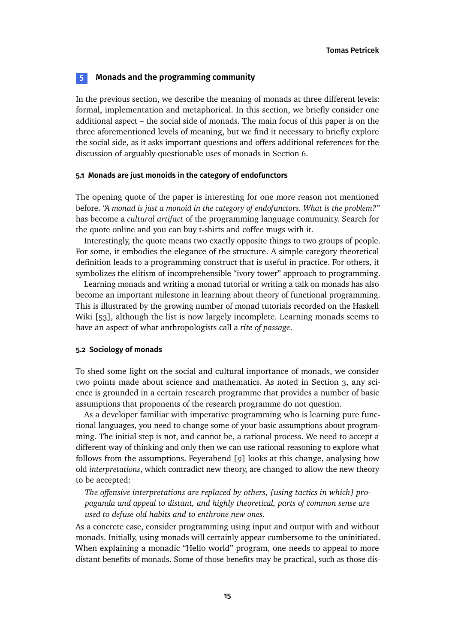# <span id="page-14-0"></span>**5 Monads and the programming community**

In the previous section, we describe the meaning of monads at three different levels: formal, implementation and metaphorical. In this section, we briefly consider one additional aspect – the social side of monads. The main focus of this paper is on the three aforementioned levels of meaning, but we find it necessary to briefly explore the social side, as it asks important questions and offers additional references for the discussion of arguably questionable uses of monads in Section [6.](#page-15-0)

# **5.1 Monads are just monoids in the category of endofunctors**

The opening quote of the paper is interesting for one more reason not mentioned before. *"A monad is just a monoid in the category of endofunctors. What is the problem?"* has become a *cultural artifact* of the programming language community. Search for the quote online and you can buy t-shirts and coffee mugs with it.

Interestingly, the quote means two exactly opposite things to two groups of people. For some, it embodies the elegance of the structure. A simple category theoretical definition leads to a programming construct that is useful in practice. For others, it symbolizes the elitism of incomprehensible "ivory tower" approach to programming.

Learning monads and writing a monad tutorial or writing a talk on monads has also become an important milestone in learning about theory of functional programming. This is illustrated by the growing number of monad tutorials recorded on the Haskell Wiki [\[53\]](#page-24-6), although the list is now largely incomplete. Learning monads seems to have an aspect of what anthropologists call a *rite of passage*.

# **5.2 Sociology of monads**

To shed some light on the social and cultural importance of monads, we consider two points made about science and mathematics. As noted in Section [3,](#page-8-0) any science is grounded in a certain research programme that provides a number of basic assumptions that proponents of the research programme do not question.

As a developer familiar with imperative programming who is learning pure functional languages, you need to change some of your basic assumptions about programming. The initial step is not, and cannot be, a rational process. We need to accept a different way of thinking and only then we can use rational reasoning to explore what follows from the assumptions. Feyerabend [\[9\]](#page-21-12) looks at this change, analysing how old *interpretations*, which contradict new theory, are changed to allow the new theory to be accepted:

*The offensive interpretations are replaced by others, [using tactics in which] propaganda and appeal to distant, and highly theoretical, parts of common sense are used to defuse old habits and to enthrone new ones.*

As a concrete case, consider programming using input and output with and without monads. Initially, using monads will certainly appear cumbersome to the uninitiated. When explaining a monadic "Hello world" program, one needs to appeal to more distant benefits of monads. Some of those benefits may be practical, such as those dis-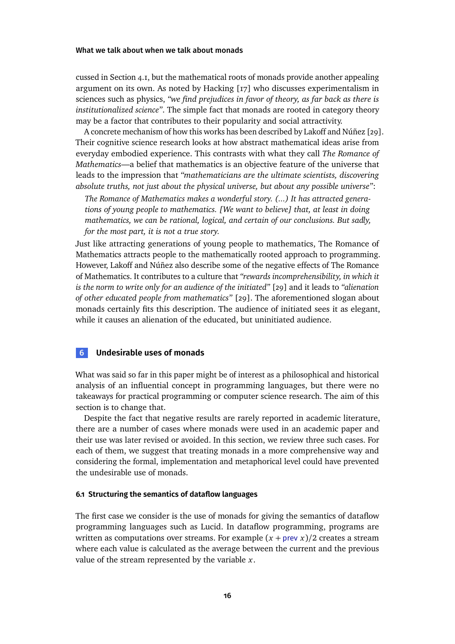cussed in Section [4.1,](#page-10-1) but the mathematical roots of monads provide another appealing argument on its own. As noted by Hacking [\[17\]](#page-21-13) who discusses experimentalism in sciences such as physics, *"we find prejudices in favor of theory, as far back as there is institutionalized science"*. The simple fact that monads are rooted in category theory may be a factor that contributes to their popularity and social attractivity.

A concrete mechanism of how this works has been described by Lakoff and Núñez [\[29\]](#page-22-4). Their cognitive science research looks at how abstract mathematical ideas arise from everyday embodied experience. This contrasts with what they call *The Romance of Mathematics*—a belief that mathematics is an objective feature of the universe that leads to the impression that *"mathematicians are the ultimate scientists, discovering absolute truths, not just about the physical universe, but about any possible universe"*:

*The Romance of Mathematics makes a wonderful story. (...) It has attracted generations of young people to mathematics. [We want to believe] that, at least in doing mathematics, we can be rational, logical, and certain of our conclusions. But sadly, for the most part, it is not a true story.*

Just like attracting generations of young people to mathematics, The Romance of Mathematics attracts people to the mathematically rooted approach to programming. However, Lakoff and Núñez also describe some of the negative effects of The Romance of Mathematics. It contributes to a culture that *"rewards incomprehensibility, in which it is the norm to write only for an audience of the initiated"* [\[29\]](#page-22-4) and it leads to *"alienation of other educated people from mathematics"* [\[29\]](#page-22-4). The aforementioned slogan about monads certainly fits this description. The audience of initiated sees it as elegant, while it causes an alienation of the educated, but uninitiated audience.

# <span id="page-15-0"></span>**6 Undesirable uses of monads**

What was said so far in this paper might be of interest as a philosophical and historical analysis of an influential concept in programming languages, but there were no takeaways for practical programming or computer science research. The aim of this section is to change that.

Despite the fact that negative results are rarely reported in academic literature, there are a number of cases where monads were used in an academic paper and their use was later revised or avoided. In this section, we review three such cases. For each of them, we suggest that treating monads in a more comprehensive way and considering the formal, implementation and metaphorical level could have prevented the undesirable use of monads.

# **6.1 Structuring the semantics of dataflow languages**

The first case we consider is the use of monads for giving the semantics of dataflow programming languages such as Lucid. In dataflow programming, programs are written as computations over streams. For example  $(x + \text{prev } x)/2$  creates a stream where each value is calculated as the average between the current and the previous value of the stream represented by the variable *x*.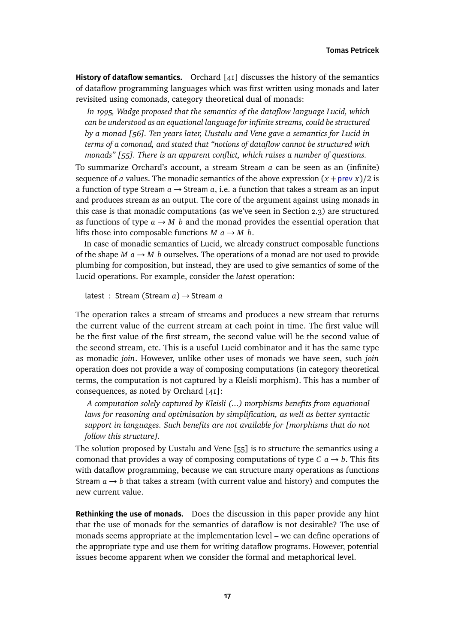**History of dataflow semantics.** Orchard [\[41\]](#page-23-12) discusses the history of the semantics of dataflow programming languages which was first written using monads and later revisited using comonads, category theoretical dual of monads:

*In 1995, Wadge proposed that the semantics of the dataflow language Lucid, which can be understood as an equational language for infinite streams, could be structured by a monad [\[56\]](#page-24-7). Ten years later, Uustalu and Vene gave a semantics for Lucid in terms of a comonad, and stated that "notions of dataflow cannot be structured with monads" [\[55\]](#page-24-8). There is an apparent conflict, which raises a number of questions.*

To summarize Orchard's account, a stream Stream *a* can be seen as an (infinite) sequence of *a* values. The monadic semantics of the above expression  $(x +$ prev *x*)/2 is a function of type Stream  $a \rightarrow$  Stream  $a$ , i.e. a function that takes a stream as an input and produces stream as an output. The core of the argument against using monads in this case is that monadic computations (as we've seen in Section [2.3\)](#page-4-0) are structured as functions of type  $a \rightarrow M$  *b* and the monad provides the essential operation that lifts those into composable functions  $M$   $a \rightarrow M$   $b$ .

In case of monadic semantics of Lucid, we already construct composable functions of the shape  $M$   $a \rightarrow M$  *b* ourselves. The operations of a monad are not used to provide plumbing for composition, but instead, they are used to give semantics of some of the Lucid operations. For example, consider the *latest* operation:

latest : Stream (Stream *a*) → Stream *a*

The operation takes a stream of streams and produces a new stream that returns the current value of the current stream at each point in time. The first value will be the first value of the first stream, the second value will be the second value of the second stream, etc. This is a useful Lucid combinator and it has the same type as monadic *join*. However, unlike other uses of monads we have seen, such *join* operation does not provide a way of composing computations (in category theoretical terms, the computation is not captured by a Kleisli morphism). This has a number of consequences, as noted by Orchard [\[41\]](#page-23-12):

*A computation solely captured by Kleisli (...) morphisms benefits from equational laws for reasoning and optimization by simplification, as well as better syntactic support in languages. Such benefits are not available for [morphisms that do not follow this structure].*

The solution proposed by Uustalu and Vene [\[55\]](#page-24-8) is to structure the semantics using a comonad that provides a way of composing computations of type  $C \t{a} \rightarrow b$ . This fits with dataflow programming, because we can structure many operations as functions Stream  $a \rightarrow b$  that takes a stream (with current value and history) and computes the new current value.

**Rethinking the use of monads.** Does the discussion in this paper provide any hint that the use of monads for the semantics of dataflow is not desirable? The use of monads seems appropriate at the implementation level – we can define operations of the appropriate type and use them for writing dataflow programs. However, potential issues become apparent when we consider the formal and metaphorical level.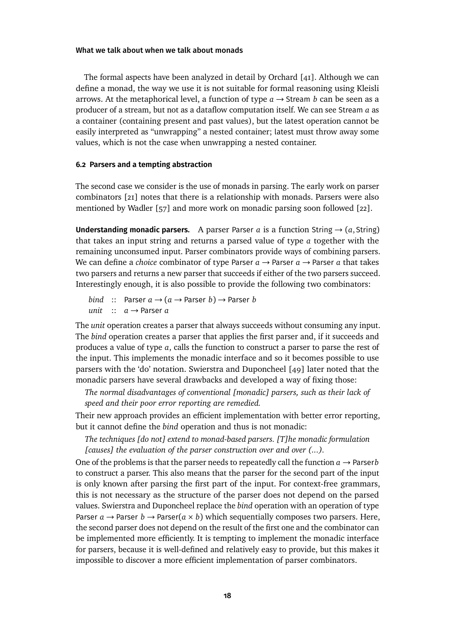The formal aspects have been analyzed in detail by Orchard [\[41\]](#page-23-12). Although we can define a monad, the way we use it is not suitable for formal reasoning using Kleisli arrows. At the metaphorical level, a function of type  $a \rightarrow$  Stream *b* can be seen as a producer of a stream, but not as a dataflow computation itself. We can see Stream *a* as a container (containing present and past values), but the latest operation cannot be easily interpreted as "unwrapping" a nested container; latest must throw away some values, which is not the case when unwrapping a nested container.

# **6.2 Parsers and a tempting abstraction**

The second case we consider is the use of monads in parsing. The early work on parser combinators [\[21\]](#page-21-14) notes that there is a relationship with monads. Parsers were also mentioned by Wadler [\[57\]](#page-24-0) and more work on monadic parsing soon followed [\[22\]](#page-22-6).

**Understanding monadic parsers.** A parser Parser *a* is a function String  $\rightarrow$  (*a*, String) that takes an input string and returns a parsed value of type *a* together with the remaining unconsumed input. Parser combinators provide ways of combining parsers. We can define a *choice* combinator of type Parser  $a \rightarrow$  Parser  $a \rightarrow$  Parser *a* that takes two parsers and returns a new parser that succeeds if either of the two parsers succeed. Interestingly enough, it is also possible to provide the following two combinators:

*bind* :: Parser  $a \rightarrow (a \rightarrow$  Parser *b*)  $\rightarrow$  Parser *b unit* :: *a* → Parser *a*

The *unit* operation creates a parser that always succeeds without consuming any input. The *bind* operation creates a parser that applies the first parser and, if it succeeds and produces a value of type *a*, calls the function to construct a parser to parse the rest of the input. This implements the monadic interface and so it becomes possible to use parsers with the 'do' notation. Swierstra and Duponcheel [\[49\]](#page-23-13) later noted that the monadic parsers have several drawbacks and developed a way of fixing those:

*The normal disadvantages of conventional [monadic] parsers, such as their lack of speed and their poor error reporting are remedied.*

Their new approach provides an efficient implementation with better error reporting, but it cannot define the *bind* operation and thus is not monadic:

*The techniques [do not] extend to monad-based parsers. [T]he monadic formulation [causes] the evaluation of the parser construction over and over (...).*

One of the problems is that the parser needs to repeatedly call the function  $a \rightarrow$  Parser*b* to construct a parser. This also means that the parser for the second part of the input is only known after parsing the first part of the input. For context-free grammars, this is not necessary as the structure of the parser does not depend on the parsed values. Swierstra and Duponcheel replace the *bind* operation with an operation of type Parser  $a \rightarrow$  Parser  $b \rightarrow$  Parser( $a \times b$ ) which sequentially composes two parsers. Here, the second parser does not depend on the result of the first one and the combinator can be implemented more efficiently. It is tempting to implement the monadic interface for parsers, because it is well-defined and relatively easy to provide, but this makes it impossible to discover a more efficient implementation of parser combinators.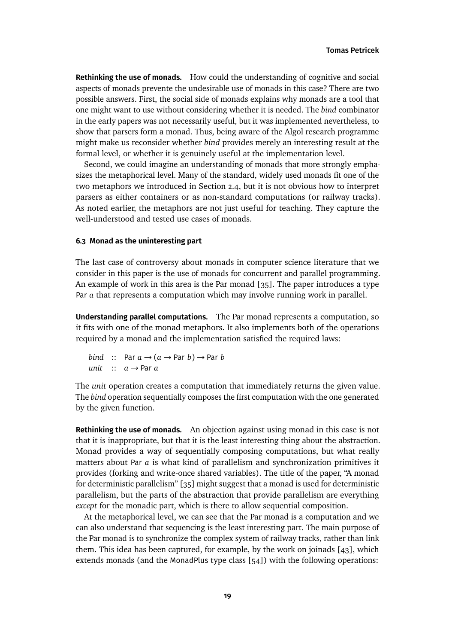**Rethinking the use of monads.** How could the understanding of cognitive and social aspects of monads prevente the undesirable use of monads in this case? There are two possible answers. First, the social side of monads explains why monads are a tool that one might want to use without considering whether it is needed. The *bind* combinator in the early papers was not necessarily useful, but it was implemented nevertheless, to show that parsers form a monad. Thus, being aware of the Algol research programme might make us reconsider whether *bind* provides merely an interesting result at the formal level, or whether it is genuinely useful at the implementation level.

Second, we could imagine an understanding of monads that more strongly emphasizes the metaphorical level. Many of the standard, widely used monads fit one of the two metaphors we introduced in Section [2.4,](#page-7-0) but it is not obvious how to interpret parsers as either containers or as non-standard computations (or railway tracks). As noted earlier, the metaphors are not just useful for teaching. They capture the well-understood and tested use cases of monads.

# **6.3 Monad as the uninteresting part**

The last case of controversy about monads in computer science literature that we consider in this paper is the use of monads for concurrent and parallel programming. An example of work in this area is the Par monad  $\lceil 35 \rceil$ . The paper introduces a type Par *a* that represents a computation which may involve running work in parallel.

**Understanding parallel computations.** The Par monad represents a computation, so it fits with one of the monad metaphors. It also implements both of the operations required by a monad and the implementation satisfied the required laws:

\n
$$
\text{bind} \quad \text{::} \quad \text{Par } a \to (a \to \text{Par } b) \to \text{Par } b
$$
\n

\n\n $\text{unit} \quad \text{::} \quad a \to \text{Par } a$ \n

The *unit* operation creates a computation that immediately returns the given value. The *bind* operation sequentially composes the first computation with the one generated by the given function.

**Rethinking the use of monads.** An objection against using monad in this case is not that it is inappropriate, but that it is the least interesting thing about the abstraction. Monad provides a way of sequentially composing computations, but what really matters about Par *a* is what kind of parallelism and synchronization primitives it provides (forking and write-once shared variables). The title of the paper, "A monad for deterministic parallelism" [\[35\]](#page-22-7) might suggest that a monad is used for deterministic parallelism, but the parts of the abstraction that provide parallelism are everything *except* for the monadic part, which is there to allow sequential composition.

At the metaphorical level, we can see that the Par monad is a computation and we can also understand that sequencing is the least interesting part. The main purpose of the Par monad is to synchronize the complex system of railway tracks, rather than link them. This idea has been captured, for example, by the work on joinads [\[43\]](#page-23-3), which extends monads (and the MonadPlus type class [\[54\]](#page-24-4)) with the following operations: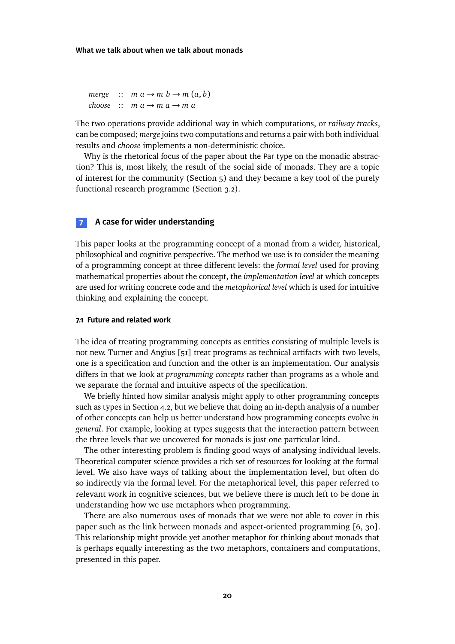*merge* ::  $m a \rightarrow m b \rightarrow m (a, b)$ *choose* ::  $m a \rightarrow m a \rightarrow m a$ 

The two operations provide additional way in which computations, or *railway tracks*, can be composed; *merge* joins two computations and returns a pair with both individual results and *choose* implements a non-deterministic choice.

Why is the rhetorical focus of the paper about the Par type on the monadic abstraction? This is, most likely, the result of the social side of monads. They are a topic of interest for the community (Section [5\)](#page-14-0) and they became a key tool of the purely functional research programme (Section [3.2\)](#page-9-0).

# **7 A case for wider understanding**

This paper looks at the programming concept of a monad from a wider, historical, philosophical and cognitive perspective. The method we use is to consider the meaning of a programming concept at three different levels: the *formal level* used for proving mathematical properties about the concept, the *implementation level* at which concepts are used for writing concrete code and the *metaphorical level* which is used for intuitive thinking and explaining the concept.

# **7.1 Future and related work**

The idea of treating programming concepts as entities consisting of multiple levels is not new. Turner and Angius [\[51\]](#page-23-14) treat programs as technical artifacts with two levels, one is a specification and function and the other is an implementation. Our analysis differs in that we look at *programming concepts* rather than programs as a whole and we separate the formal and intuitive aspects of the specification.

We briefly hinted how similar analysis might apply to other programming concepts such as types in Section [4.2,](#page-12-0) but we believe that doing an in-depth analysis of a number of other concepts can help us better understand how programming concepts evolve *in general*. For example, looking at types suggests that the interaction pattern between the three levels that we uncovered for monads is just one particular kind.

The other interesting problem is finding good ways of analysing individual levels. Theoretical computer science provides a rich set of resources for looking at the formal level. We also have ways of talking about the implementation level, but often do so indirectly via the formal level. For the metaphorical level, this paper referred to relevant work in cognitive sciences, but we believe there is much left to be done in understanding how we use metaphors when programming.

There are also numerous uses of monads that we were not able to cover in this paper such as the link between monads and aspect-oriented programming [\[6,](#page-21-15) [30\]](#page-22-15). This relationship might provide yet another metaphor for thinking about monads that is perhaps equally interesting as the two metaphors, containers and computations, presented in this paper.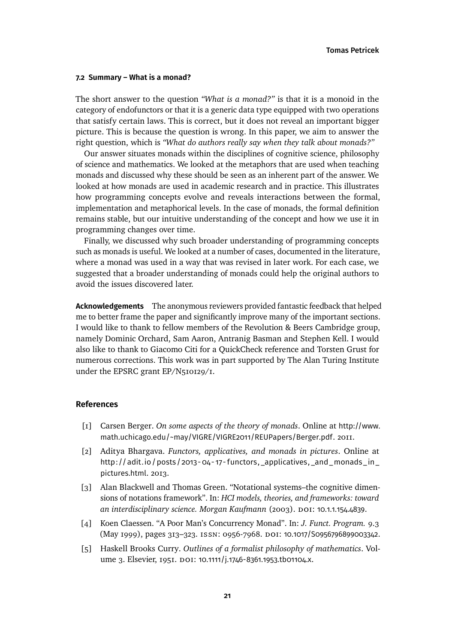# **7.2 Summary – What is a monad?**

The short answer to the question *"What is a monad?"* is that it is a monoid in the category of endofunctors or that it is a generic data type equipped with two operations that satisfy certain laws. This is correct, but it does not reveal an important bigger picture. This is because the question is wrong. In this paper, we aim to answer the right question, which is *"What do authors really say when they talk about monads?"*

Our answer situates monads within the disciplines of cognitive science, philosophy of science and mathematics. We looked at the metaphors that are used when teaching monads and discussed why these should be seen as an inherent part of the answer. We looked at how monads are used in academic research and in practice. This illustrates how programming concepts evolve and reveals interactions between the formal, implementation and metaphorical levels. In the case of monads, the formal definition remains stable, but our intuitive understanding of the concept and how we use it in programming changes over time.

Finally, we discussed why such broader understanding of programming concepts such as monads is useful. We looked at a number of cases, documented in the literature, where a monad was used in a way that was revised in later work. For each case, we suggested that a broader understanding of monads could help the original authors to avoid the issues discovered later.

**Acknowledgements** The anonymous reviewers provided fantastic feedback that helped me to better frame the paper and significantly improve many of the important sections. I would like to thank to fellow members of the Revolution & Beers Cambridge group, namely Dominic Orchard, Sam Aaron, Antranig Basman and Stephen Kell. I would also like to thank to Giacomo Citi for a QuickCheck reference and Torsten Grust for numerous corrections. This work was in part supported by The Alan Turing Institute under the EPSRC grant EP/N510129/1.

### **References**

- <span id="page-20-0"></span>[1] Carsen Berger. *On some aspects of the theory of monads*. Online at [http://www.](http://www.math.uchicago.edu/~may/VIGRE/VIGRE2011/REUPapers/Berger.pdf) [math.uchicago.edu/~may/VIGRE/VIGRE2011/REUPapers/Berger.pdf](http://www.math.uchicago.edu/~may/VIGRE/VIGRE2011/REUPapers/Berger.pdf). 2011.
- <span id="page-20-2"></span>[2] Aditya Bhargava. *Functors, applicatives, and monads in pictures*. Online at [http://adit.io/posts/2013- 04- 17- functors, \\_applicatives, \\_and\\_monads\\_in\\_](http://adit.io/posts/2013-04-17-functors,_applicatives,_and_monads_in_pictures.html) [pictures.html](http://adit.io/posts/2013-04-17-functors,_applicatives,_and_monads_in_pictures.html). 2013.
- <span id="page-20-4"></span>[3] Alan Blackwell and Thomas Green. "Notational systems–the cognitive dimensions of notations framework". In: *HCI models, theories, and frameworks: toward an interdisciplinary science. Morgan Kaufmann* (2003). doi: [10.1.1.154.4839](https://doi.org/10.1.1.154.4839).
- <span id="page-20-3"></span>[4] Koen Claessen. "A Poor Man's Concurrency Monad". In: *J. Funct. Program.* 9.3 (May 1999), pages 313-323. ISSN: 0956-7968. DOI: [10.1017/S0956796899003342](https://doi.org/10.1017/S0956796899003342).
- <span id="page-20-1"></span>[5] Haskell Brooks Curry. *Outlines of a formalist philosophy of mathematics*. Vol-ume 3. Elsevier, 1951. doi: [10.1111/j.1746-8361.1953.tb01104.x](https://doi.org/10.1111/j.1746-8361.1953.tb01104.x).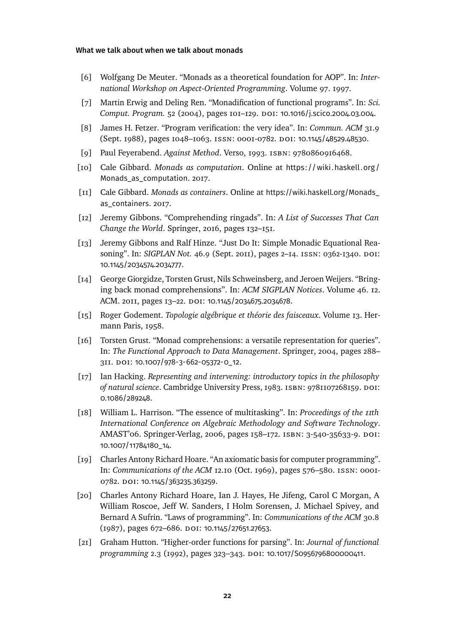- <span id="page-21-15"></span>[6] Wolfgang De Meuter. "Monads as a theoretical foundation for AOP". In: *International Workshop on Aspect-Oriented Programming*. Volume 97. 1997.
- <span id="page-21-9"></span>[7] Martin Erwig and Deling Ren. "Monadification of functional programs". In: *Sci. Comput. Program.* 52 (2004), pages 101–129. doi: [10.1016/j.scico.2004.03.004](https://doi.org/10.1016/j.scico.2004.03.004).
- <span id="page-21-1"></span>[8] James H. Fetzer. "Program verification: the very idea". In: *Commun. ACM* 31.9 (Sept. 1988), pages 1048-1063. ISSN: 0001-0782. DOI: [10.1145/48529.48530](https://doi.org/10.1145/48529.48530).
- <span id="page-21-12"></span>[9] Paul Feyerabend. *Against Method*. Verso, 1993. isbn: 9780860916468.
- <span id="page-21-3"></span>[10] Cale Gibbard. *Monads as computation*. Online at [https: //wiki.haskell.org /](https://wiki.haskell.org/Monads_as_computation) [Monads\\_as\\_computation](https://wiki.haskell.org/Monads_as_computation). 2017.
- <span id="page-21-2"></span>[11] Cale Gibbard. *Monads as containers*. Online at [https://wiki.haskell.org/Monads\\_](https://wiki.haskell.org/Monads_as_containers) [as\\_containers](https://wiki.haskell.org/Monads_as_containers). 2017.
- <span id="page-21-7"></span>[12] Jeremy Gibbons. "Comprehending ringads". In: *A List of Successes That Can Change the World*. Springer, 2016, pages 132–151.
- <span id="page-21-8"></span>[13] Jeremy Gibbons and Ralf Hinze. "Just Do It: Simple Monadic Equational Reasoning". In: *SIGPLAN Not.* 46.9 (Sept. 2011), pages 2-14. ISSN: 0362-1340. DOI: [10.1145/2034574.2034777](https://doi.org/10.1145/2034574.2034777).
- <span id="page-21-10"></span>[14] George Giorgidze, Torsten Grust, Nils Schweinsberg, and Jeroen Weijers. "Bringing back monad comprehensions". In: *ACM SIGPLAN Notices*. Volume 46. 12. ACM. 2011, pages 13–22. doi: [10.1145/2034675.2034678](https://doi.org/10.1145/2034675.2034678).
- <span id="page-21-0"></span>[15] Roger Godement. *Topologie algébrique et théorie des faisceaux*. Volume 13. Hermann Paris, 1958.
- <span id="page-21-11"></span>[16] Torsten Grust. "Monad comprehensions: a versatile representation for queries". In: *The Functional Approach to Data Management*. Springer, 2004, pages 288– 311. doi: [10.1007/978-3-662-05372-0\\_12](https://doi.org/10.1007/978-3-662-05372-0_12).
- <span id="page-21-13"></span>[17] Ian Hacking. *Representing and intervening: introductory topics in the philosophy of natural science*. Cambridge University Press, 1983. isbn: 9781107268159. doi: [0.1086/289248](https://doi.org/0.1086/289248).
- <span id="page-21-4"></span>[18] William L. Harrison. "The essence of multitasking". In: *Proceedings of the 11th International Conference on Algebraic Methodology and Software Technology*. AMAST'06. Springer-Verlag, 2006, pages 158–172. isbn: 3-540-35633-9. doi: [10.1007/11784180\\_14](https://doi.org/10.1007/11784180_14).
- <span id="page-21-5"></span>[19] Charles Antony Richard Hoare. "An axiomatic basis for computer programming". In: *Communications of the ACM* 12.10 (Oct. 1969), pages 576–580. issn: 0001- 0782. DOI: [10.1145/363235.363259](https://doi.org/10.1145/363235.363259).
- <span id="page-21-6"></span>[20] Charles Antony Richard Hoare, Ian J. Hayes, He Jifeng, Carol C Morgan, A William Roscoe, Jeff W. Sanders, I Holm Sorensen, J. Michael Spivey, and Bernard A Sufrin. "Laws of programming". In: *Communications of the ACM* 30.8 (1987), pages 672-686. DOI: [10.1145/27651.27653](https://doi.org/10.1145/27651.27653).
- <span id="page-21-14"></span>[21] Graham Hutton. "Higher-order functions for parsing". In: *Journal of functional programming* 2.3 (1992), pages 323–343. doi: [10.1017/S0956796800000411](https://doi.org/10.1017/S0956796800000411).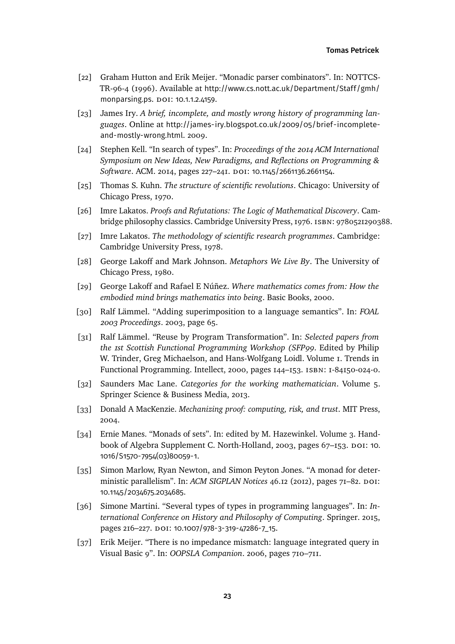- <span id="page-22-6"></span>[22] Graham Hutton and Erik Meijer. "Monadic parser combinators". In: NOTTCS-TR-96-4 (1996). Available at [http://www.cs.nott.ac.uk/Department/Staff/gmh/](http://www.cs.nott.ac.uk/Department/Staff/gmh/monparsing.ps) [monparsing.ps](http://www.cs.nott.ac.uk/Department/Staff/gmh/monparsing.ps). DOI: [10.1.1.2.4159](https://doi.org/10.1.1.2.4159).
- <span id="page-22-0"></span>[23] James Iry. *A brief, incomplete, and mostly wrong history of programming languages*. Online at [http://james-iry.blogspot.co.uk/2009/05/brief-incomplete](http://james-iry.blogspot.co.uk/2009/05/brief-incomplete-and-mostly-wrong.html)[and-mostly-wrong.html](http://james-iry.blogspot.co.uk/2009/05/brief-incomplete-and-mostly-wrong.html). 2009.
- <span id="page-22-13"></span>[24] Stephen Kell. "In search of types". In: *Proceedings of the 2014 ACM International Symposium on New Ideas, New Paradigms, and Reflections on Programming & Software*. ACM. 2014, pages 227–241. doi: [10.1145/2661136.2661154](https://doi.org/10.1145/2661136.2661154).
- <span id="page-22-9"></span>[25] Thomas S. Kuhn. *The structure of scientific revolutions*. Chicago: University of Chicago Press, 1970.
- <span id="page-22-12"></span>[26] Imre Lakatos. *Proofs and Refutations: The Logic of Mathematical Discovery*. Cambridge philosophy classics. Cambridge University Press, 1976. ISBN: 9780521290388.
- <span id="page-22-10"></span>[27] Imre Lakatos. *The methodology of scientific research programmes*. Cambridge: Cambridge University Press, 1978.
- <span id="page-22-5"></span>[28] George Lakoff and Mark Johnson. *Metaphors We Live By*. The University of Chicago Press, 1980.
- <span id="page-22-4"></span>[29] George Lakoff and Rafael E Núñez. *Where mathematics comes from: How the embodied mind brings mathematics into being*. Basic Books, 2000.
- <span id="page-22-15"></span>[30] Ralf Lämmel. "Adding superimposition to a language semantics". In: *FOAL 2003 Proceedings*. 2003, page 65.
- <span id="page-22-8"></span>[31] Ralf Lämmel. "Reuse by Program Transformation". In: *Selected papers from the 1st Scottish Functional Programming Workshop (SFP99*. Edited by Philip W. Trinder, Greg Michaelson, and Hans-Wolfgang Loidl. Volume 1. Trends in Functional Programming. Intellect, 2000, pages 144–153. isbn: 1-84150-024-0.
- <span id="page-22-1"></span>[32] Saunders Mac Lane. *Categories for the working mathematician*. Volume 5. Springer Science & Business Media, 2013.
- <span id="page-22-3"></span>[33] Donald A MacKenzie. *Mechanizing proof: computing, risk, and trust*. MIT Press, 2004.
- <span id="page-22-2"></span>[34] Ernie Manes. "Monads of sets". In: edited by M. Hazewinkel. Volume 3. Hand-book of Algebra Supplement C. North-Holland, 2003, pages 67-153. DOI: [10.](https://doi.org/10.1016/S1570-7954(03)80059-1) [1016/S1570-7954\(03\)80059-1](https://doi.org/10.1016/S1570-7954(03)80059-1).
- <span id="page-22-7"></span>[35] Simon Marlow, Ryan Newton, and Simon Peyton Jones. "A monad for deterministic parallelism". In: *ACM SIGPLAN Notices* 46.12 (2012), pages 71-82. DOI: [10.1145/2034675.2034685](https://doi.org/10.1145/2034675.2034685).
- <span id="page-22-14"></span>[36] Simone Martini. "Several types of types in programming languages". In: *International Conference on History and Philosophy of Computing*. Springer. 2015, pages 216-227. DOI: [10.1007/978-3-319-47286-7\\_15](https://doi.org/10.1007/978-3-319-47286-7_15).
- <span id="page-22-11"></span>[37] Erik Meijer. "There is no impedance mismatch: language integrated query in Visual Basic 9". In: *OOPSLA Companion*. 2006, pages 710–711.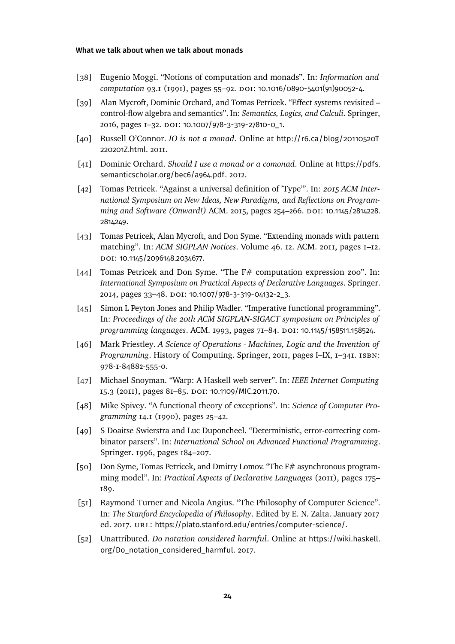- <span id="page-23-0"></span>[38] Eugenio Moggi. "Notions of computation and monads". In: *Information and computation* 93.1 (1991), pages 55–92. doi: [10.1016/0890-5401\(91\)90052-4](https://doi.org/10.1016/0890-5401(91)90052-4).
- <span id="page-23-2"></span>[39] Alan Mycroft, Dominic Orchard, and Tomas Petricek. "Effect systems revisited – control-flow algebra and semantics". In: *Semantics, Logics, and Calculi*. Springer, 2016, pages 1–32. doi: [10.1007/978-3-319-27810-0\\_1](https://doi.org/10.1007/978-3-319-27810-0_1).
- <span id="page-23-8"></span>[40] Russell O'Connor. *IO is not a monad*. Online at [http://r6.ca/blog/20110520T](http://r6.ca/blog/20110520T220201Z.html) [220201Z.html](http://r6.ca/blog/20110520T220201Z.html). 2011.
- <span id="page-23-12"></span>[41] Dominic Orchard. *Should I use a monad or a comonad*. Online at [https://pdfs.](https://pdfs.semanticscholar.org/bec6/a964.pdf) [semanticscholar.org/bec6/a964.pdf](https://pdfs.semanticscholar.org/bec6/a964.pdf). 2012.
- <span id="page-23-11"></span>[42] Tomas Petricek. "Against a universal definition of 'Type'". In: *2015 ACM International Symposium on New Ideas, New Paradigms, and Reflections on Programming and Software (Onward!)* ACM. 2015, pages 254–266. doi: [10.1145/2814228.](https://doi.org/10.1145/2814228.2814249) [2814249](https://doi.org/10.1145/2814228.2814249).
- <span id="page-23-3"></span>[43] Tomas Petricek, Alan Mycroft, and Don Syme. "Extending monads with pattern matching". In: *ACM SIGPLAN Notices*. Volume 46. 12. ACM. 2011, pages 1–12. doi: [10.1145/2096148.2034677](https://doi.org/10.1145/2096148.2034677).
- <span id="page-23-5"></span>[44] Tomas Petricek and Don Syme. "The F# computation expression zoo". In: *International Symposium on Practical Aspects of Declarative Languages*. Springer. 2014, pages 33-48. DOI: [10.1007/978-3-319-04132-2\\_3](https://doi.org/10.1007/978-3-319-04132-2_3).
- <span id="page-23-6"></span>[45] Simon L Peyton Jones and Philip Wadler. "Imperative functional programming". In: *Proceedings of the 20th ACM SIGPLAN-SIGACT symposium on Principles of programming languages*. ACM. 1993, pages 71–84. doi: [10.1145/158511.158524](https://doi.org/10.1145/158511.158524).
- <span id="page-23-4"></span>[46] Mark Priestley. *A Science of Operations - Machines, Logic and the Invention of Programming*. History of Computing. Springer, 2011, pages I–IX, 1–341. isbn: 978-1-84882-555-0.
- <span id="page-23-10"></span>[47] Michael Snoyman. "Warp: A Haskell web server". In: *IEEE Internet Computing* 15.3 (2011), pages 81–85. doi: [10.1109/MIC.2011.70](https://doi.org/10.1109/MIC.2011.70).
- <span id="page-23-1"></span>[48] Mike Spivey. "A functional theory of exceptions". In: *Science of Computer Programming* 14.1 (1990), pages 25–42.
- <span id="page-23-13"></span>[49] S Doaitse Swierstra and Luc Duponcheel. "Deterministic, error-correcting combinator parsers". In: *International School on Advanced Functional Programming*. Springer. 1996, pages 184–207.
- <span id="page-23-9"></span>[50] Don Syme, Tomas Petricek, and Dmitry Lomov. "The F# asynchronous programming model". In: *Practical Aspects of Declarative Languages* (2011), pages 175– 189.
- <span id="page-23-14"></span>[51] Raymond Turner and Nicola Angius. "The Philosophy of Computer Science". In: *The Stanford Encyclopedia of Philosophy*. Edited by E. N. Zalta. January 2017 ed. 2017. URL: <https://plato.stanford.edu/entries/computer-science/>.
- <span id="page-23-7"></span>[52] Unattributed. *Do notation considered harmful*. Online at [https://wiki.haskell.](https://wiki.haskell.org/Do_notation_considered_harmful) [org/Do\\_notation\\_considered\\_harmful](https://wiki.haskell.org/Do_notation_considered_harmful). 2017.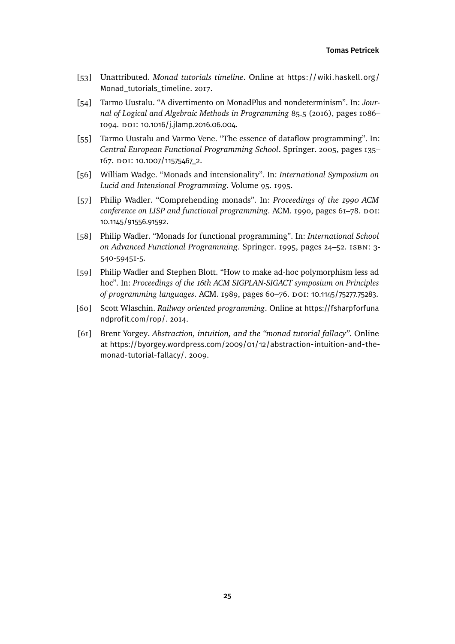- <span id="page-24-6"></span>[53] Unattributed. *Monad tutorials timeline*. Online at [https://wiki.haskell.org/](https://wiki.haskell.org/Monad_tutorials_timeline) [Monad\\_tutorials\\_timeline](https://wiki.haskell.org/Monad_tutorials_timeline). 2017.
- <span id="page-24-4"></span>[54] Tarmo Uustalu. "A divertimento on MonadPlus and nondeterminism". In: *Journal of Logical and Algebraic Methods in Programming* 85.5 (2016), pages 1086– 1094. DOI: [10.1016/j.jlamp.2016.06.004](https://doi.org/10.1016/j.jlamp.2016.06.004).
- <span id="page-24-8"></span>[55] Tarmo Uustalu and Varmo Vene. "The essence of dataflow programming". In: *Central European Functional Programming School*. Springer. 2005, pages 135– 167. doi: [10.1007/11575467\\_2](https://doi.org/10.1007/11575467_2).
- <span id="page-24-7"></span>[56] William Wadge. "Monads and intensionality". In: *International Symposium on Lucid and Intensional Programming*. Volume 95. 1995.
- <span id="page-24-0"></span>[57] Philip Wadler. "Comprehending monads". In: *Proceedings of the 1990 ACM* conference on LISP and functional programming. ACM. 1990, pages 61-78. DOI: [10.1145/91556.91592](https://doi.org/10.1145/91556.91592).
- <span id="page-24-1"></span>[58] Philip Wadler. "Monads for functional programming". In: *International School on Advanced Functional Programming*. Springer. 1995, pages 24–52. isbn: 3- 540-59451-5.
- <span id="page-24-5"></span>[59] Philip Wadler and Stephen Blott. "How to make ad-hoc polymorphism less ad hoc". In: *Proceedings of the 16th ACM SIGPLAN-SIGACT symposium on Principles of programming languages*. ACM. 1989, pages 60–76. doi: [10.1145/75277.75283](https://doi.org/10.1145/75277.75283).
- <span id="page-24-3"></span>[60] Scott Wlaschin. *Railway oriented programming*. Online at [https://fsharpforfuna](https://fsharpforfunandprofit.com/rop/) [ndprofit.com/rop/](https://fsharpforfunandprofit.com/rop/). 2014.
- <span id="page-24-2"></span>[61] Brent Yorgey. *Abstraction, intuition, and the "monad tutorial fallacy"*. Online at [https://byorgey.wordpress.com/2009/01/12/abstraction-intuition-and-the](https://byorgey.wordpress.com/2009/01/12/abstraction-intuition-and-the-monad-tutorial-fallacy/)[monad-tutorial-fallacy/](https://byorgey.wordpress.com/2009/01/12/abstraction-intuition-and-the-monad-tutorial-fallacy/). 2009.